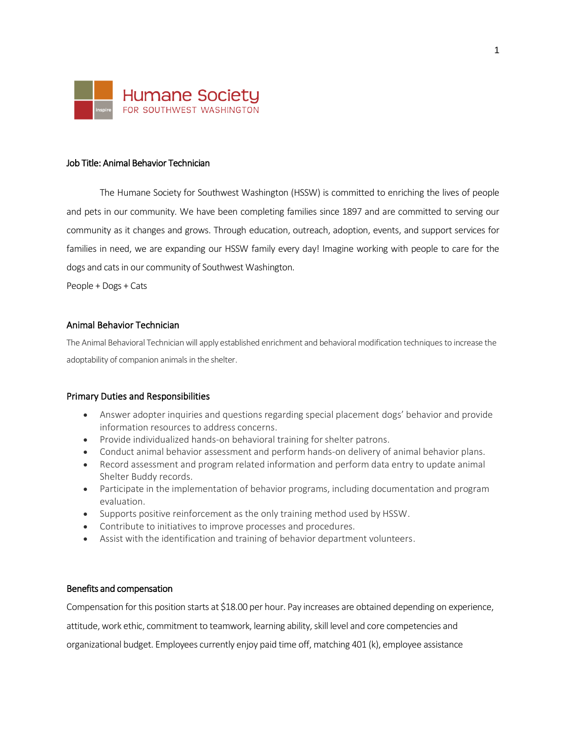

### Job Title: Animal Behavior Technician

The Humane Society for Southwest Washington (HSSW) is committed to enriching the lives of people and pets in our community. We have been completing families since 1897 and are committed to serving our community as it changes and grows. Through education, outreach, adoption, events, and support services for families in need, we are expanding our HSSW family every day! Imagine working with people to care for the dogs and cats in our community of Southwest Washington.

People + Dogs + Cats

# Animal Behavior Technician

The Animal Behavioral Technician will apply established enrichment and behavioral modification techniques to increase the adoptability of companion animals in the shelter.

#### Primary Duties and Responsibilities

- Answer adopter inquiries and questions regarding special placement dogs' behavior and provide information resources to address concerns.
- Provide individualized hands-on behavioral training for shelter patrons.
- Conduct animal behavior assessment and perform hands-on delivery of animal behavior plans.
- Record assessment and program related information and perform data entry to update animal Shelter Buddy records.
- Participate in the implementation of behavior programs, including documentation and program evaluation.
- Supports positive reinforcement as the only training method used by HSSW.
- Contribute to initiatives to improve processes and procedures.
- Assist with the identification and training of behavior department volunteers.

#### Benefits and compensation

Compensation for this position starts at \$18.00 per hour. Pay increases are obtained depending on experience,

attitude, work ethic, commitment to teamwork, learning ability, skill level and core competencies and

organizational budget. Employees currently enjoy paid time off, matching 401 (k), employee assistance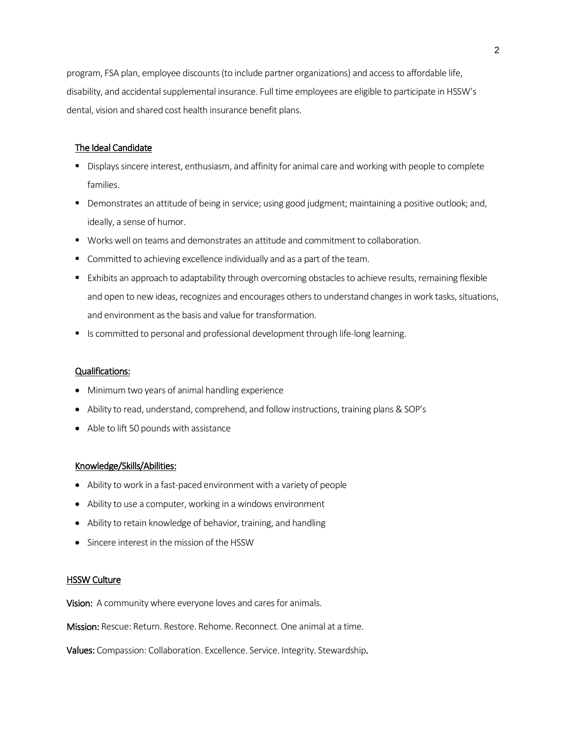program, FSA plan, employee discounts (to include partner organizations) and access to affordable life, disability, and accidental supplemental insurance. Full time employees are eligible to participate in HSSW's dental, vision and shared cost health insurance benefit plans.

# The Ideal Candidate

- Displays sincere interest, enthusiasm, and affinity for animal care and working with people to complete families.
- Demonstrates an attitude of being in service; using good judgment; maintaining a positive outlook; and, ideally, a sense of humor.
- Works well on teams and demonstrates an attitude and commitment to collaboration.
- **E** Committed to achieving excellence individually and as a part of the team.
- Exhibits an approach to adaptability through overcoming obstacles to achieve results, remaining flexible and open to new ideas, recognizes and encourages others to understand changes in work tasks, situations, and environment as the basis and value for transformation.
- Is committed to personal and professional development through life-long learning.

# Qualifications:

- Minimum two years of animal handling experience
- Ability to read, understand, comprehend, and follow instructions, training plans & SOP's
- Able to lift 50 pounds with assistance

### Knowledge/Skills/Abilities:

- Ability to work in a fast-paced environment with a variety of people
- Ability to use a computer, working in a windows environment
- Ability to retain knowledge of behavior, training, and handling
- Sincere interest in the mission of the HSSW

#### **HSSW Culture**

Vision: A community where everyone loves and cares for animals.

Mission: Rescue: Return. Restore. Rehome. Reconnect. One animal at a time.

Values: Compassion: Collaboration. Excellence. Service. Integrity. Stewardship.